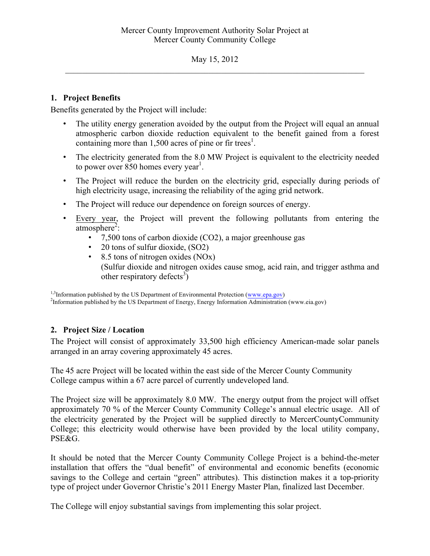May 15, 2012  $\mathcal{L}_\text{max} = \mathcal{L}_\text{max} = \mathcal{L}_\text{max} = \mathcal{L}_\text{max} = \mathcal{L}_\text{max} = \mathcal{L}_\text{max} = \mathcal{L}_\text{max} = \mathcal{L}_\text{max} = \mathcal{L}_\text{max} = \mathcal{L}_\text{max} = \mathcal{L}_\text{max} = \mathcal{L}_\text{max} = \mathcal{L}_\text{max} = \mathcal{L}_\text{max} = \mathcal{L}_\text{max} = \mathcal{L}_\text{max} = \mathcal{L}_\text{max} = \mathcal{L}_\text{max} = \mathcal{$ 

## **1. Project Benefits**

Benefits generated by the Project will include:

- The utility energy generation avoided by the output from the Project will equal an annual atmospheric carbon dioxide reduction equivalent to the benefit gained from a forest containing more than  $1,500$  acres of pine or fir trees<sup>1</sup>.
- The electricity generated from the 8.0 MW Project is equivalent to the electricity needed to power over  $850$  homes every year<sup>1</sup>.
- The Project will reduce the burden on the electricity grid, especially during periods of high electricity usage, increasing the reliability of the aging grid network.
- The Project will reduce our dependence on foreign sources of energy.
- Every year, the Project will prevent the following pollutants from entering the  $atmosphere<sup>2</sup>$ :
	- 7,500 tons of carbon dioxide (CO2), a major greenhouse gas
	- 20 tons of sulfur dioxide, (SO2)
	- 8.5 tons of nitrogen oxides (NOx) (Sulfur dioxide and nitrogen oxides cause smog, acid rain, and trigger asthma and other respiratory defects<sup>3</sup>)

 $1,3$ Information published by the US Department of Environmental Protection (www.epa.gov)

<sup>2</sup>Information published by the US Department of Energy, Energy Information Administration (www.eia.gov)

# **2. Project Size / Location**

The Project will consist of approximately 33,500 high efficiency American-made solar panels arranged in an array covering approximately 45 acres.

The 45 acre Project will be located within the east side of the Mercer County Community College campus within a 67 acre parcel of currently undeveloped land.

The Project size will be approximately 8.0 MW. The energy output from the project will offset approximately 70 % of the Mercer County Community College's annual electric usage. All of the electricity generated by the Project will be supplied directly to MercerCountyCommunity College; this electricity would otherwise have been provided by the local utility company, PSE&G.

It should be noted that the Mercer County Community College Project is a behind-the-meter installation that offers the "dual benefit" of environmental and economic benefits (economic savings to the College and certain "green" attributes). This distinction makes it a top-priority type of project under Governor Christie's 2011 Energy Master Plan, finalized last December.

The College will enjoy substantial savings from implementing this solar project.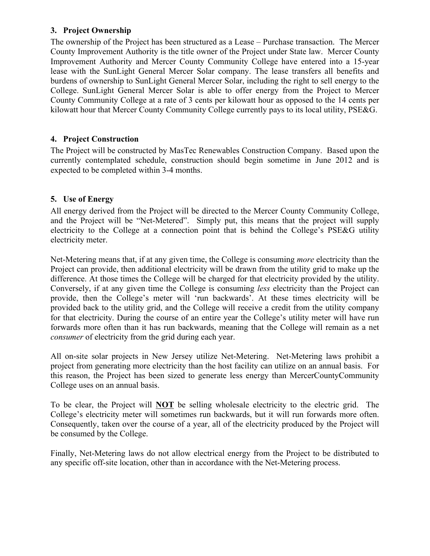### **3. Project Ownership**

The ownership of the Project has been structured as a Lease – Purchase transaction. The Mercer County Improvement Authority is the title owner of the Project under State law. Mercer County Improvement Authority and Mercer County Community College have entered into a 15-year lease with the SunLight General Mercer Solar company. The lease transfers all benefits and burdens of ownership to SunLight General Mercer Solar, including the right to sell energy to the College. SunLight General Mercer Solar is able to offer energy from the Project to Mercer County Community College at a rate of 3 cents per kilowatt hour as opposed to the 14 cents per kilowatt hour that Mercer County Community College currently pays to its local utility, PSE&G.

## **4. Project Construction**

The Project will be constructed by MasTec Renewables Construction Company. Based upon the currently contemplated schedule, construction should begin sometime in June 2012 and is expected to be completed within 3-4 months.

# **5. Use of Energy**

All energy derived from the Project will be directed to the Mercer County Community College, and the Project will be "Net-Metered". Simply put, this means that the project will supply electricity to the College at a connection point that is behind the College's PSE&G utility electricity meter.

Net-Metering means that, if at any given time, the College is consuming *more* electricity than the Project can provide, then additional electricity will be drawn from the utility grid to make up the difference. At those times the College will be charged for that electricity provided by the utility. Conversely, if at any given time the College is consuming *less* electricity than the Project can provide, then the College's meter will 'run backwards'. At these times electricity will be provided back to the utility grid, and the College will receive a credit from the utility company for that electricity. During the course of an entire year the College's utility meter will have run forwards more often than it has run backwards, meaning that the College will remain as a net *consumer* of electricity from the grid during each year.

All on-site solar projects in New Jersey utilize Net-Metering. Net-Metering laws prohibit a project from generating more electricity than the host facility can utilize on an annual basis. For this reason, the Project has been sized to generate less energy than MercerCountyCommunity College uses on an annual basis.

To be clear, the Project will **NOT** be selling wholesale electricity to the electric grid. The College's electricity meter will sometimes run backwards, but it will run forwards more often. Consequently, taken over the course of a year, all of the electricity produced by the Project will be consumed by the College.

Finally, Net-Metering laws do not allow electrical energy from the Project to be distributed to any specific off-site location, other than in accordance with the Net-Metering process.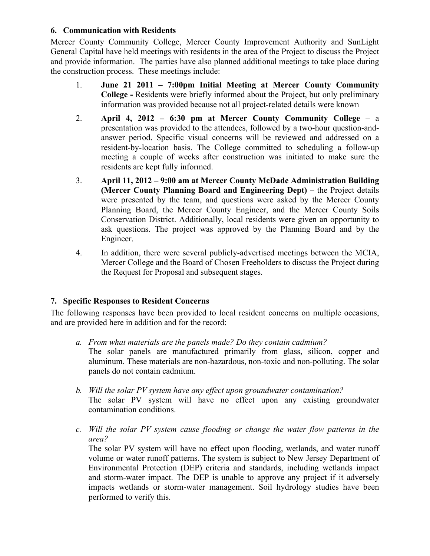### **6. Communication with Residents**

Mercer County Community College, Mercer County Improvement Authority and SunLight General Capital have held meetings with residents in the area of the Project to discuss the Project and provide information. The parties have also planned additional meetings to take place during the construction process. These meetings include:

- 1. **June 21 2011 – 7:00pm Initial Meeting at Mercer County Community College -** Residents were briefly informed about the Project, but only preliminary information was provided because not all project-related details were known
- 2. **April 4, 2012 – 6:30 pm at Mercer County Community College** a presentation was provided to the attendees, followed by a two-hour question-andanswer period. Specific visual concerns will be reviewed and addressed on a resident-by-location basis. The College committed to scheduling a follow-up meeting a couple of weeks after construction was initiated to make sure the residents are kept fully informed.
- 3. **April 11, 2012 – 9:00 am at Mercer County McDade Administration Building (Mercer County Planning Board and Engineering Dept)** – the Project details were presented by the team, and questions were asked by the Mercer County Planning Board, the Mercer County Engineer, and the Mercer County Soils Conservation District. Additionally, local residents were given an opportunity to ask questions. The project was approved by the Planning Board and by the Engineer.
- 4. In addition, there were several publicly-advertised meetings between the MCIA, Mercer College and the Board of Chosen Freeholders to discuss the Project during the Request for Proposal and subsequent stages.

### **7. Specific Responses to Resident Concerns**

The following responses have been provided to local resident concerns on multiple occasions, and are provided here in addition and for the record:

- *a. From what materials are the panels made? Do they contain cadmium?* The solar panels are manufactured primarily from glass, silicon, copper and aluminum. These materials are non-hazardous, non-toxic and non-polluting. The solar panels do not contain cadmium.
- *b. Will the solar PV system have any effect upon groundwater contamination?* The solar PV system will have no effect upon any existing groundwater contamination conditions.
- *c. Will the solar PV system cause flooding or change the water flow patterns in the area?*

The solar PV system will have no effect upon flooding, wetlands, and water runoff volume or water runoff patterns. The system is subject to New Jersey Department of Environmental Protection (DEP) criteria and standards, including wetlands impact and storm-water impact. The DEP is unable to approve any project if it adversely impacts wetlands or storm-water management. Soil hydrology studies have been performed to verify this.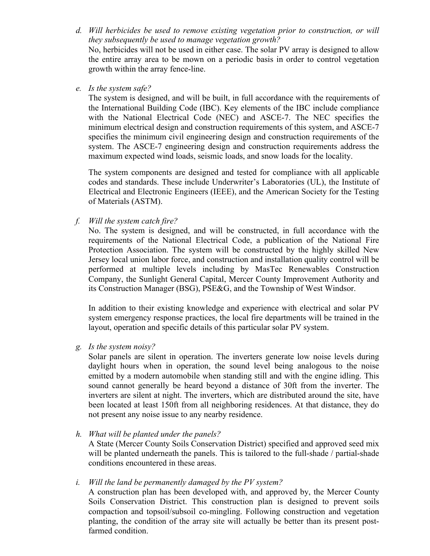*d. Will herbicides be used to remove existing vegetation prior to construction, or will they subsequently be used to manage vegetation growth?*

No, herbicides will not be used in either case. The solar PV array is designed to allow the entire array area to be mown on a periodic basis in order to control vegetation growth within the array fence-line.

*e. Is the system safe?*

The system is designed, and will be built, in full accordance with the requirements of the International Building Code (IBC). Key elements of the IBC include compliance with the National Electrical Code (NEC) and ASCE-7. The NEC specifies the minimum electrical design and construction requirements of this system, and ASCE-7 specifies the minimum civil engineering design and construction requirements of the system. The ASCE-7 engineering design and construction requirements address the maximum expected wind loads, seismic loads, and snow loads for the locality.

The system components are designed and tested for compliance with all applicable codes and standards. These include Underwriter's Laboratories (UL), the Institute of Electrical and Electronic Engineers (IEEE), and the American Society for the Testing of Materials (ASTM).

*f. Will the system catch fire?*

No. The system is designed, and will be constructed, in full accordance with the requirements of the National Electrical Code, a publication of the National Fire Protection Association. The system will be constructed by the highly skilled New Jersey local union labor force, and construction and installation quality control will be performed at multiple levels including by MasTec Renewables Construction Company, the Sunlight General Capital, Mercer County Improvement Authority and its Construction Manager (BSG), PSE&G, and the Township of West Windsor.

In addition to their existing knowledge and experience with electrical and solar PV system emergency response practices, the local fire departments will be trained in the layout, operation and specific details of this particular solar PV system.

*g. Is the system noisy?*

Solar panels are silent in operation. The inverters generate low noise levels during daylight hours when in operation, the sound level being analogous to the noise emitted by a modern automobile when standing still and with the engine idling. This sound cannot generally be heard beyond a distance of 30ft from the inverter. The inverters are silent at night. The inverters, which are distributed around the site, have been located at least 150ft from all neighboring residences. At that distance, they do not present any noise issue to any nearby residence.

*h. What will be planted under the panels?*

A State (Mercer County Soils Conservation District) specified and approved seed mix will be planted underneath the panels. This is tailored to the full-shade / partial-shade conditions encountered in these areas.

*i. Will the land be permanently damaged by the PV system?*

A construction plan has been developed with, and approved by, the Mercer County Soils Conservation District. This construction plan is designed to prevent soils compaction and topsoil/subsoil co-mingling. Following construction and vegetation planting, the condition of the array site will actually be better than its present postfarmed condition.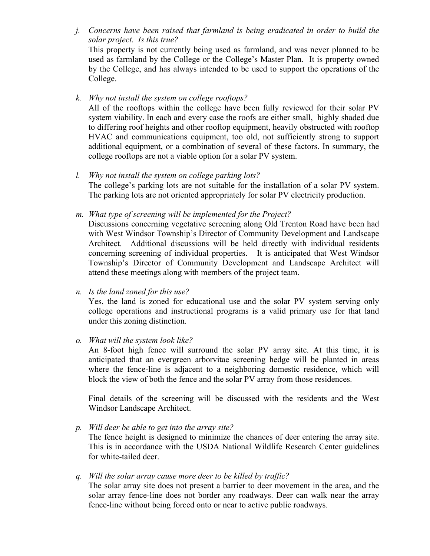*j. Concerns have been raised that farmland is being eradicated in order to build the solar project. Is this true?* This property is not currently being used as farmland, and was never planned to be used as farmland by the College or the College's Master Plan. It is property owned by the College, and has always intended to be used to support the operations of the College.

*k. Why not install the system on college rooftops?*

All of the rooftops within the college have been fully reviewed for their solar PV system viability. In each and every case the roofs are either small, highly shaded due to differing roof heights and other rooftop equipment, heavily obstructed with rooftop HVAC and communications equipment, too old, not sufficiently strong to support additional equipment, or a combination of several of these factors. In summary, the college rooftops are not a viable option for a solar PV system.

*l. Why not install the system on college parking lots?* The college's parking lots are not suitable for the installation of a solar PV system. The parking lots are not oriented appropriately for solar PV electricity production.

*m. What type of screening will be implemented for the Project?*

Discussions concerning vegetative screening along Old Trenton Road have been had with West Windsor Township's Director of Community Development and Landscape Architect. Additional discussions will be held directly with individual residents concerning screening of individual properties. It is anticipated that West Windsor Township's Director of Community Development and Landscape Architect will attend these meetings along with members of the project team.

*n. Is the land zoned for this use?*

Yes, the land is zoned for educational use and the solar PV system serving only college operations and instructional programs is a valid primary use for that land under this zoning distinction.

*o. What will the system look like?*

An 8-foot high fence will surround the solar PV array site. At this time, it is anticipated that an evergreen arborvitae screening hedge will be planted in areas where the fence-line is adjacent to a neighboring domestic residence, which will block the view of both the fence and the solar PV array from those residences.

Final details of the screening will be discussed with the residents and the West Windsor Landscape Architect.

*p. Will deer be able to get into the array site?*

The fence height is designed to minimize the chances of deer entering the array site. This is in accordance with the USDA National Wildlife Research Center guidelines for white-tailed deer.

### *q. Will the solar array cause more deer to be killed by traffic?*

The solar array site does not present a barrier to deer movement in the area, and the solar array fence-line does not border any roadways. Deer can walk near the array fence-line without being forced onto or near to active public roadways.